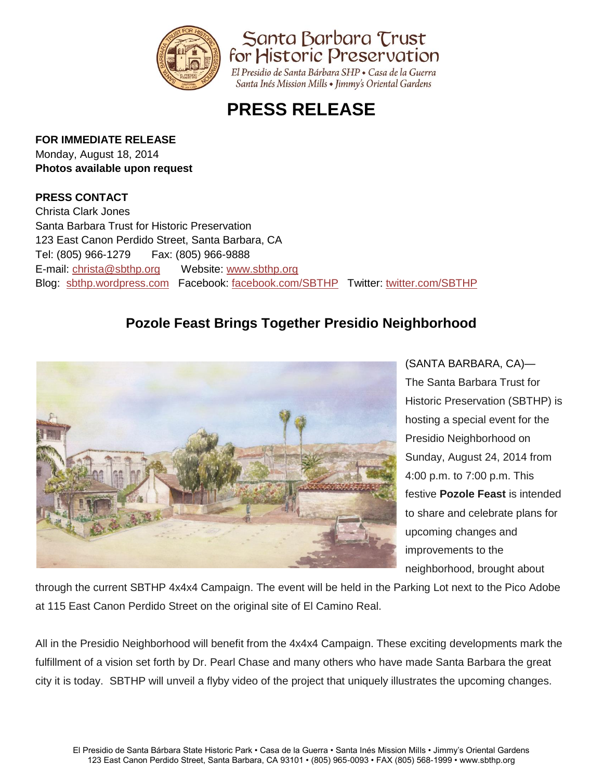

Santa Barbara Trust for Historic Preservation

El Presidio de Santa Bárbara SHP · Casa de la Guerra Santa Inés Mission Mills • Jimmy's Oriental Gardens

## **PRESS RELEASE**

## **FOR IMMEDIATE RELEASE**

Monday, August 18, 2014 **Photos available upon request**

## **PRESS CONTACT**

Christa Clark Jones Santa Barbara Trust for Historic Preservation 123 East Canon Perdido Street, Santa Barbara, CA Tel: (805) 966-1279 Fax: (805) 966-9888 E-mail: [christa@sbthp.org](mailto:christa@sbthp.org) Website: [www.sbthp.org](http://www.sbthp.org/) Blog: [sbthp.wordpress.com](http://sbthp.wordpress.com/) Facebook: [facebook.com/SBTHP](http://www.facebook.com/SBTHP) Twitter: [twitter.com/SBTHP](http://twitter.com/SBTHP)

## **Pozole Feast Brings Together Presidio Neighborhood**



(SANTA BARBARA, CA)— The Santa Barbara Trust for Historic Preservation (SBTHP) is hosting a special event for the Presidio Neighborhood on Sunday, August 24, 2014 from 4:00 p.m. to 7:00 p.m. This festive **Pozole Feast** is intended to share and celebrate plans for upcoming changes and improvements to the neighborhood, brought about

through the current SBTHP 4x4x4 Campaign. The event will be held in the Parking Lot next to the Pico Adobe at 115 East Canon Perdido Street on the original site of El Camino Real.

All in the Presidio Neighborhood will benefit from the 4x4x4 Campaign. These exciting developments mark the fulfillment of a vision set forth by Dr. Pearl Chase and many others who have made Santa Barbara the great city it is today. SBTHP will unveil a flyby video of the project that uniquely illustrates the upcoming changes.